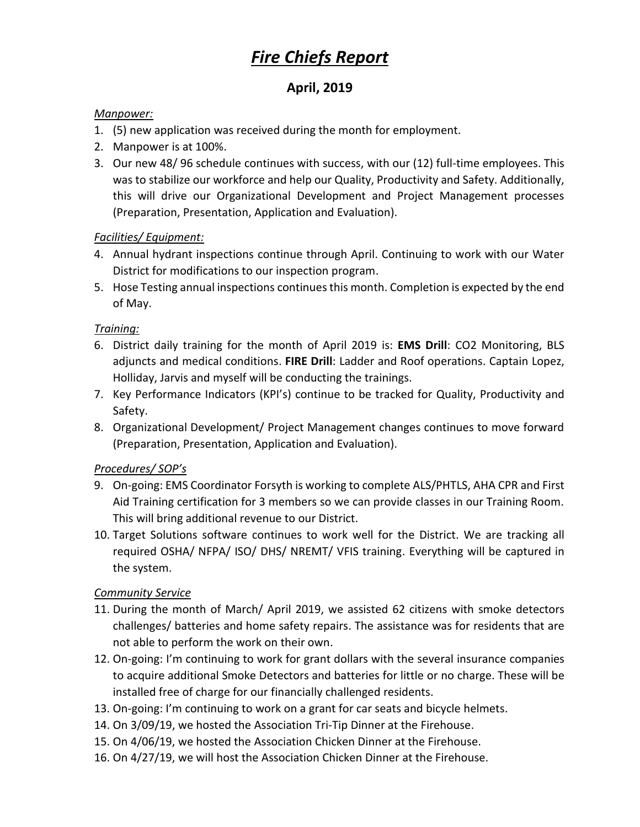# *Fire Chiefs Report*

## **April, 2019**

#### *Manpower:*

- 1. (5) new application was received during the month for employment.
- 2. Manpower is at 100%.
- 3. Our new 48/ 96 schedule continues with success, with our (12) full-time employees. This was to stabilize our workforce and help our Quality, Productivity and Safety. Additionally, this will drive our Organizational Development and Project Management processes (Preparation, Presentation, Application and Evaluation).

## *Facilities/ Equipment:*

- 4. Annual hydrant inspections continue through April. Continuing to work with our Water District for modifications to our inspection program.
- 5. Hose Testing annual inspections continues this month. Completion is expected by the end of May.

## *Training:*

- 6. District daily training for the month of April 2019 is: **EMS Drill**: CO2 Monitoring, BLS adjuncts and medical conditions. **FIRE Drill**: Ladder and Roof operations. Captain Lopez, Holliday, Jarvis and myself will be conducting the trainings.
- 7. Key Performance Indicators (KPI's) continue to be tracked for Quality, Productivity and Safety.
- 8. Organizational Development/ Project Management changes continues to move forward (Preparation, Presentation, Application and Evaluation).

## *Procedures/ SOP's*

- 9. On-going: EMS Coordinator Forsyth is working to complete ALS/PHTLS, AHA CPR and First Aid Training certification for 3 members so we can provide classes in our Training Room. This will bring additional revenue to our District.
- 10. Target Solutions software continues to work well for the District. We are tracking all required OSHA/ NFPA/ ISO/ DHS/ NREMT/ VFIS training. Everything will be captured in the system.

## *Community Service*

- 11. During the month of March/ April 2019, we assisted 62 citizens with smoke detectors challenges/ batteries and home safety repairs. The assistance was for residents that are not able to perform the work on their own.
- 12. On-going: I'm continuing to work for grant dollars with the several insurance companies to acquire additional Smoke Detectors and batteries for little or no charge. These will be installed free of charge for our financially challenged residents.
- 13. On-going: I'm continuing to work on a grant for car seats and bicycle helmets.
- 14. On 3/09/19, we hosted the Association Tri-Tip Dinner at the Firehouse.
- 15. On 4/06/19, we hosted the Association Chicken Dinner at the Firehouse.
- 16. On 4/27/19, we will host the Association Chicken Dinner at the Firehouse.